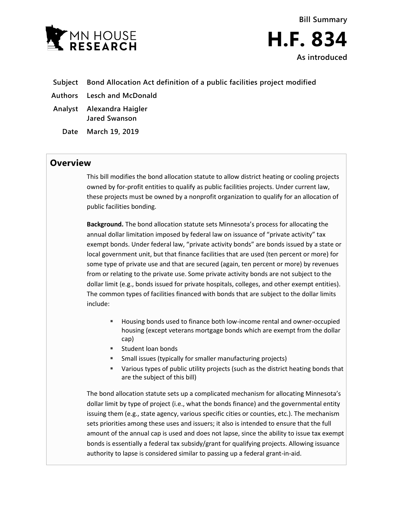

**Bill Summary H.F. 834 As introduced**

- **Subject Bond Allocation Act definition of a public facilities project modified**
- **Authors Lesch and McDonald**
- **Analyst Alexandra Haigler Jared Swanson**
	- **Date March 19, 2019**

## **Overview**

This bill modifies the bond allocation statute to allow district heating or cooling projects owned by for-profit entities to qualify as public facilities projects. Under current law, these projects must be owned by a nonprofit organization to qualify for an allocation of public facilities bonding.

**Background.** The bond allocation statute sets Minnesota's process for allocating the annual dollar limitation imposed by federal law on issuance of "private activity" tax exempt bonds. Under federal law, "private activity bonds" are bonds issued by a state or local government unit, but that finance facilities that are used (ten percent or more) for some type of private use and that are secured (again, ten percent or more) by revenues from or relating to the private use. Some private activity bonds are not subject to the dollar limit (e.g., bonds issued for private hospitals, colleges, and other exempt entities). The common types of facilities financed with bonds that are subject to the dollar limits include:

- Housing bonds used to finance both low-income rental and owner-occupied housing (except veterans mortgage bonds which are exempt from the dollar cap)
- **Student loan bonds**
- Small issues (typically for smaller manufacturing projects)
- Various types of public utility projects (such as the district heating bonds that are the subject of this bill)

The bond allocation statute sets up a complicated mechanism for allocating Minnesota's dollar limit by type of project (i.e., what the bonds finance) and the governmental entity issuing them (e.g., state agency, various specific cities or counties, etc.). The mechanism sets priorities among these uses and issuers; it also is intended to ensure that the full amount of the annual cap is used and does not lapse, since the ability to issue tax exempt bonds is essentially a federal tax subsidy/grant for qualifying projects. Allowing issuance authority to lapse is considered similar to passing up a federal grant-in-aid.